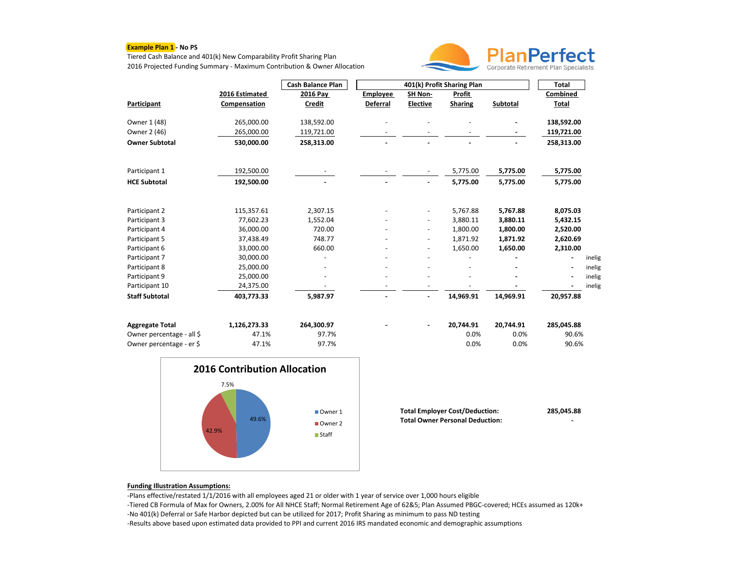## **Example Plan 1 - No PS**

Tiered Cash Balance and 401(k) New Comparability Profit Sharing Plan 2016 Projected Funding Summary - Maximum Contribution & Owner Allocation



|                           |                | <b>Cash Balance Plan</b> | 401(k) Profit Sharing Plan |                          |                |           | <b>Total</b>             |        |
|---------------------------|----------------|--------------------------|----------------------------|--------------------------|----------------|-----------|--------------------------|--------|
|                           | 2016 Estimated | 2016 Pay                 | <b>Employee</b>            | SH Non-                  | Profit         |           | Combined                 |        |
| Participant               | Compensation   | Credit                   | <b>Deferral</b>            | <b>Elective</b>          | <b>Sharing</b> | Subtotal  | Total                    |        |
| Owner 1 (48)              | 265,000.00     | 138,592.00               |                            |                          |                |           | 138,592.00               |        |
| Owner 2 (46)              | 265,000.00     | 119,721.00               |                            |                          |                |           | 119,721.00               |        |
| <b>Owner Subtotal</b>     | 530,000.00     | 258,313.00               |                            |                          |                |           | 258,313.00               |        |
|                           |                |                          |                            |                          |                |           |                          |        |
| Participant 1             | 192,500.00     |                          |                            | $\overline{\phantom{a}}$ | 5,775.00       | 5,775.00  | 5,775.00                 |        |
| <b>HCE Subtotal</b>       | 192,500.00     |                          |                            | $\overline{a}$           | 5,775.00       | 5,775.00  | 5,775.00                 |        |
|                           |                |                          |                            |                          |                |           |                          |        |
| Participant 2             | 115,357.61     | 2,307.15                 |                            |                          | 5,767.88       | 5,767.88  | 8,075.03                 |        |
| Participant 3             | 77.602.23      | 1,552.04                 |                            |                          | 3,880.11       | 3,880.11  | 5,432.15                 |        |
| Participant 4             | 36,000.00      | 720.00                   |                            |                          | 1,800.00       | 1,800.00  | 2,520.00                 |        |
| Participant 5             | 37,438.49      | 748.77                   |                            |                          | 1,871.92       | 1,871.92  | 2,620.69                 |        |
| Participant 6             | 33,000.00      | 660.00                   |                            |                          | 1,650.00       | 1,650.00  | 2,310.00                 |        |
| Participant 7             | 30,000.00      |                          |                            |                          |                |           | $\overline{\phantom{a}}$ | inelig |
| Participant 8             | 25,000.00      |                          |                            |                          |                |           |                          | inelig |
| Participant 9             | 25,000.00      |                          |                            |                          |                |           | $\blacksquare$           | inelig |
| Participant 10            | 24,375.00      |                          |                            |                          |                |           |                          | inelig |
| <b>Staff Subtotal</b>     | 403,773.33     | 5,987.97                 |                            | $\blacksquare$           | 14,969.91      | 14,969.91 | 20,957.88                |        |
| <b>Aggregate Total</b>    | 1,126,273.33   | 264,300.97               |                            | $\blacksquare$           | 20,744.91      | 20,744.91 | 285,045.88               |        |
| Owner percentage - all \$ | 47.1%          | 97.7%                    |                            |                          | 0.0%           | 0.0%      | 90.6%                    |        |
| Owner percentage - er \$  | 47.1%          | 97.7%                    |                            |                          | 0.0%           | 0.0%      | 90.6%                    |        |
|                           |                |                          |                            |                          |                |           |                          |        |



| <b>Total Employer Cost/Deduction:</b>  | 285.045.88 |
|----------------------------------------|------------|
| <b>Total Owner Personal Deduction:</b> | -          |

## **Funding Illustration Assumptions:**

-Plans effective/restated 1/1/2016 with all employees aged 21 or older with 1 year of service over 1,000 hours eligible -Tiered CB Formula of Max for Owners, 2.00% for All NHCE Staff; Normal Retirement Age of 62&5; Plan Assumed PBGC-covered; HCEs assumed as 120k+ -No 401(k) Deferral or Safe Harbor depicted but can be utilized for 2017; Profit Sharing as minimum to pass ND testing

-Results above based upon estimated data provided to PPI and current 2016 IRS mandated economic and demographic assumptions